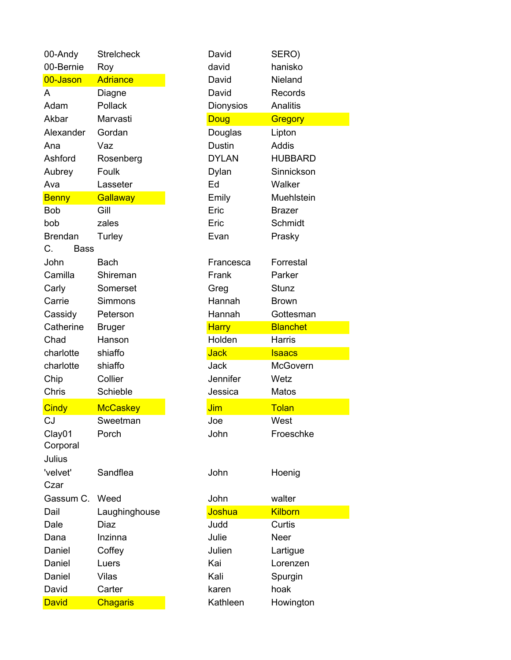| 00-Andy           | <b>Streicheck</b> | David            |           | SERO)           |
|-------------------|-------------------|------------------|-----------|-----------------|
| 00-Bernie         | Roy               | david            |           | hanisko         |
| 00-Jason          | <b>Adriance</b>   | David            |           | Nieland         |
| A                 | Diagne            | David            |           | Records         |
| Adam              | Pollack           | <b>Dionysios</b> |           | <b>Analitis</b> |
| Akbar             | Marvasti          | <b>Doug</b>      |           | Gregory         |
| Alexander         | Gordan            | Douglas          |           | Lipton          |
| Ana               | Vaz               | <b>Dustin</b>    |           | <b>Addis</b>    |
| Ashford           | Rosenberg         | <b>DYLAN</b>     |           | <b>HUBBARD</b>  |
| Aubrey            | Foulk             | Dylan            |           | Sinnickson      |
| Ava               | Lasseter          | Ed               |           | Walker          |
| <b>Benny</b>      | Gallaway          | Emily            |           | Muehlstein      |
| <b>Bob</b>        | Gill              | Eric             |           | <b>Brazer</b>   |
| bob               | zales             | Eric             |           | Schmidt         |
| <b>Brendan</b>    | Turley            | Evan             |           | Prasky          |
| C.<br><b>Bass</b> |                   |                  |           |                 |
| John              | <b>Bach</b>       |                  | Francesca | Forrestal       |
| Camilla           | Shireman          | Frank            |           | Parker          |
| Carly             | Somerset          | Greg             |           | Stunz           |
| Carrie            | Simmons           | Hannah           |           | <b>Brown</b>    |
| Cassidy           | Peterson          | Hannah           |           | Gottesman       |
| Catherine         | <b>Bruger</b>     | <b>Harry</b>     |           | <b>Blanchet</b> |
| Chad              | Hanson            | Holden           |           | Harris          |
| charlotte         | shiaffo           | <b>Jack</b>      |           | <b>Isaacs</b>   |
| charlotte         | shiaffo           | Jack             |           | <b>McGovern</b> |
| Chip              | Collier           | Jennifer         |           | Wetz            |
| Chris             | Schieble          | Jessica          |           | Matos           |
| <b>Cindy</b>      | <b>McCaskey</b>   | Jim              |           | Tolan           |
| CJ                | Sweetman          | Joe              |           | West            |
| Clay01            | Porch             | John             |           | Froeschke       |
| Corporal          |                   |                  |           |                 |
| Julius            |                   |                  |           |                 |
| 'velvet'          | Sandflea          | John             |           | Hoenig          |
| Czar              |                   |                  |           |                 |
| Gassum C.         | Weed              | John             |           | walter          |
| Dail              | Laughinghouse     | Joshua           |           | <b>Kilborn</b>  |
| Dale              | <b>Diaz</b>       | Judd             |           | Curtis          |
| Dana              | Inzinna           | Julie            |           | Neer            |
| Daniel            | Coffey            | Julien           |           | Lartigue        |
| Daniel            | Luers             | Kai              |           | Lorenzen        |
| Daniel            | Vilas             | Kali             |           | Spurgin         |
| David             | Carter            | karen            |           | hoak            |
| <b>David</b>      | <b>Chagaris</b>   | Kathleen         |           | Howington       |

|                       | <b>Strelcheck</b>         | David             | SERO)             |  |
|-----------------------|---------------------------|-------------------|-------------------|--|
| 00-Bernie             | Roy                       | david             | hanisko           |  |
| 00-Jason              | <b>Adriance</b>           | David             | Nieland           |  |
| A                     | Diagne                    | David             | Records           |  |
| Adam                  | Pollack                   | <b>Dionysios</b>  | Analitis          |  |
| Akbar                 | Marvasti                  | Doug              | Gregory           |  |
| Alexander             | Gordan                    | Douglas           | Lipton            |  |
| Ana                   | Vaz                       | <b>Dustin</b>     | Addis             |  |
| Ashford               | Rosenberg                 | <b>DYLAN</b>      | <b>HUBBARD</b>    |  |
| Aubrey                | Foulk                     | Dylan             | Sinnickson        |  |
| Ava                   | Lasseter                  | Ed                | Walker            |  |
| <b>Benny</b>          | <b>Gallaway</b>           | Emily             | Muehlstein        |  |
| Bob                   | Gill                      | Eric              | <b>Brazer</b>     |  |
| bob                   | zales                     | Eric              | Schmidt           |  |
| <b>Brendan</b>        | Turley                    | Evan              | Prasky            |  |
| С.<br><b>Bass</b>     |                           |                   |                   |  |
| John                  | Bach                      | Francesca         | Forrestal         |  |
| Camilla               | Shireman                  | Frank             | Parker            |  |
| Carly                 | Somerset                  | Greg              | Stunz             |  |
| Carrie                | <b>Simmons</b>            | Hannah            | <b>Brown</b>      |  |
| Cassidy               | Peterson                  | Hannah            | Gottesman         |  |
| Catherine             | <b>Bruger</b>             | <b>Harry</b>      | <b>Blanchet</b>   |  |
| Chad                  | Hanson                    | Holden            | <b>Harris</b>     |  |
| charlotte             | shiaffo                   | <b>Jack</b>       | <b>Isaacs</b>     |  |
| charlotte             | shiaffo                   | Jack              | McGovern          |  |
| Chip                  | Collier                   | Jennifer          | Wetz              |  |
|                       |                           | Jessica           | <b>Matos</b>      |  |
| Chris                 | Schieble                  |                   |                   |  |
| <b>Cindy</b>          | <b>McCaskey</b>           | Jim               | Tolan             |  |
| CJ                    | Sweetman                  | Joe               | West              |  |
| Clay01                | Porch                     | John              | Froeschke         |  |
| Corporal              |                           |                   |                   |  |
| Julius                |                           |                   |                   |  |
| 'velvet'              | Sandflea                  | John              | Hoenig            |  |
| Czar                  |                           |                   |                   |  |
| Gassum C. Weed        |                           | John              | walter            |  |
| Dail                  | Laughinghouse             | Joshua            | <b>Kilborn</b>    |  |
| Dale                  | Diaz                      | Judd              | Curtis            |  |
| Dana                  | Inzinna                   | Julie             | Neer              |  |
| Daniel                | Coffey                    | Julien            | Lartigue          |  |
| Daniel                | Luers                     | Kai               | Lorenzen          |  |
| Daniel                | Vilas                     | Kali              | Spurgin           |  |
| David<br><b>David</b> | Carter<br><b>Chagaris</b> | karen<br>Kathleen | hoak<br>Howington |  |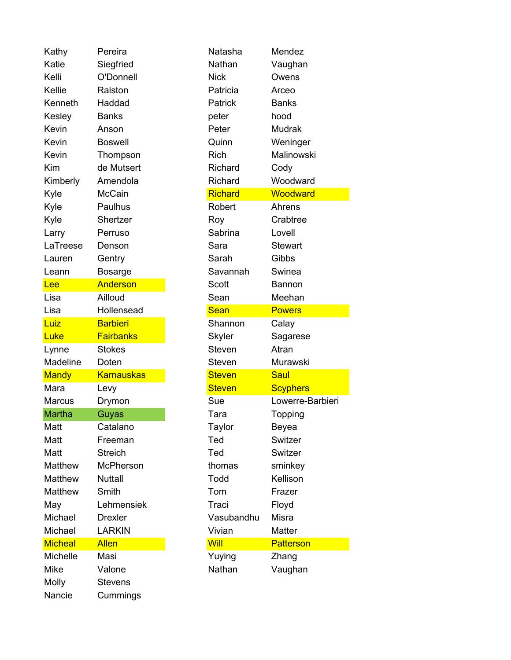Kathy Pereira Katie Siegfried Kelli O'Donnell Kellie Ralston Kenneth Haddad Kesley Banks Kevin Anson **Peter** Mudrak Kevin Boswell Kevin Thompson Kim de Mutsert Kimberly Amendola Kyle McCain <mark>Richard Woodward</mark> Kyle Paulhus Kyle Shertzer Larry Perruso LaTreese Denson Lauren Gentry Leann Bosarge Lee Anderson Lisa Ailloud Lisa Hollensead Luiz **Barbieri** Luke **Fairbanks** Lynne Stokes Madeline Doten Mandy Karnauskas Mara Levy Steven Scyphers Marcus Drymon Martha Guyas Matt Catalano Matt Freeman Matt Streich Ted Switzer Matthew McPherson Matthew Nuttall Matthew Smith May Lehmensiek Michael Drexler Michael LARKIN Micheal Allen Michelle Masi Mike Valone Nathan Vaughan Molly Stevens Nancie Cummings

| Natasha        | Mendez           |
|----------------|------------------|
| Nathan         | Vaughan          |
| Nick           | Owens            |
| Patricia       | Arceo            |
| Patrick        | Banks            |
| peter          | hood             |
| Peter          | Mudrak           |
| Quinn          | Weninger         |
| Rich           | Malinowski       |
| Richard        | Cody             |
| Richard        | Woodward         |
| <b>Richard</b> | Woodward         |
| Robert         | Ahrens           |
| Roy            | Crabtree         |
| Sabrina        | Lovell           |
| Sara           | <b>Stewart</b>   |
| Sarah          | Gibbs            |
| Savannah       | Swinea           |
| Scott          | Bannon           |
| Sean           | Meehan           |
| Sean           | <b>Powers</b>    |
|                |                  |
| Shannon        | Calay            |
| Skyler         | Sagarese         |
| Steven         | Atran            |
| Steven         | Murawski         |
| <b>Steven</b>  | Saul             |
| <b>Steven</b>  | <b>Scyphers</b>  |
| Sue            | Lowerre-Barbieri |
| Tara           | Topping          |
| Taylor         | Beyea            |
| Ted            | Switzer          |
| Ted            | Switzer          |
| thomas         | sminkey          |
| Todd           | Kellison         |
| Tom            | Frazer           |
| Traci          | Floyd            |
| Vasubandhu     | Misra            |
| Vivian         | Matter           |
| Will           | <b>Patterson</b> |
| Yuying         | Zhang            |